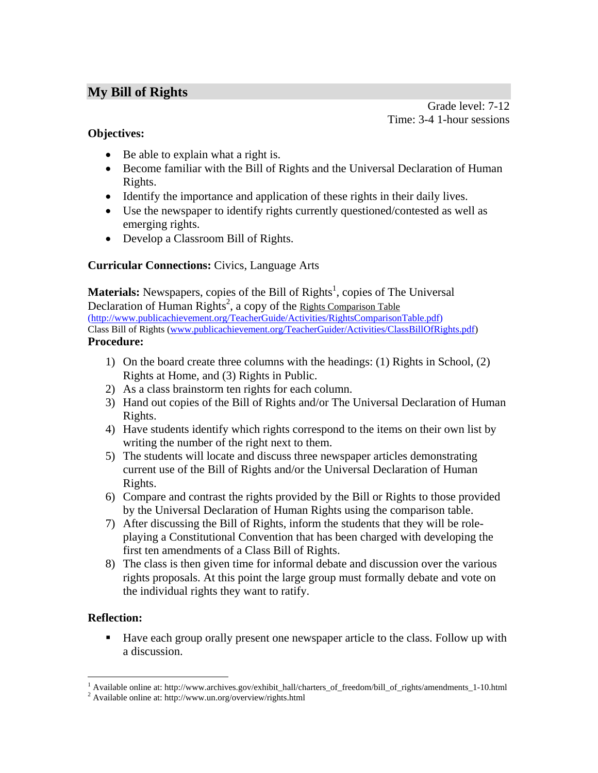# **My Bill of Rights**

Grade level: 7-12 Time: 3-4 1-hour sessions

## **Objectives:**

- Be able to explain what a right is.
- Become familiar with the Bill of Rights and the Universal Declaration of Human Rights.
- Identify the importance and application of these rights in their daily lives.
- Use the newspaper to identify rights currently questioned/contested as well as emerging rights.
- Develop a Classroom Bill of Rights.

## **Curricular Connections:** Civics, Language Arts

**Materials:** Newspapers, copies of the Bill of Rights<sup>1</sup>, copies of The Universal Declaration of Human Rights<sup>2</sup>, a copy of the Rights Comparison Table (http://www.publicachievement.org/TeacherGuide/Activities/RightsComparisonTable.pdf) Class Bill of Rights (www.publicachievement.org/TeacherGuider/Activities/ClassBillOfRights.pdf) **Procedure:** 

- 1) On the board create three columns with the headings: (1) Rights in School, (2) Rights at Home, and (3) Rights in Public.
- 2) As a class brainstorm ten rights for each column.
- 3) Hand out copies of the Bill of Rights and/or The Universal Declaration of Human Rights.
- 4) Have students identify which rights correspond to the items on their own list by writing the number of the right next to them.
- 5) The students will locate and discuss three newspaper articles demonstrating current use of the Bill of Rights and/or the Universal Declaration of Human Rights.
- 6) Compare and contrast the rights provided by the Bill or Rights to those provided by the Universal Declaration of Human Rights using the comparison table.
- 7) After discussing the Bill of Rights, inform the students that they will be roleplaying a Constitutional Convention that has been charged with developing the first ten amendments of a Class Bill of Rights.
- 8) The class is then given time for informal debate and discussion over the various rights proposals. At this point the large group must formally debate and vote on the individual rights they want to ratify.

## **Reflection:**

Have each group orally present one newspaper article to the class. Follow up with a discussion.

<sup>1&</sup>lt;br>
<sup>1</sup> Available online at: http://www.archives.gov/exhibit\_hall/charters\_of\_freedom/bill\_of\_rights/amendments\_1-10.html<br><sup>2</sup> Available online at: http://www.up.gra/cucry.jov/ciebts.html

Available online at: http://www.un.org/overview/rights.html